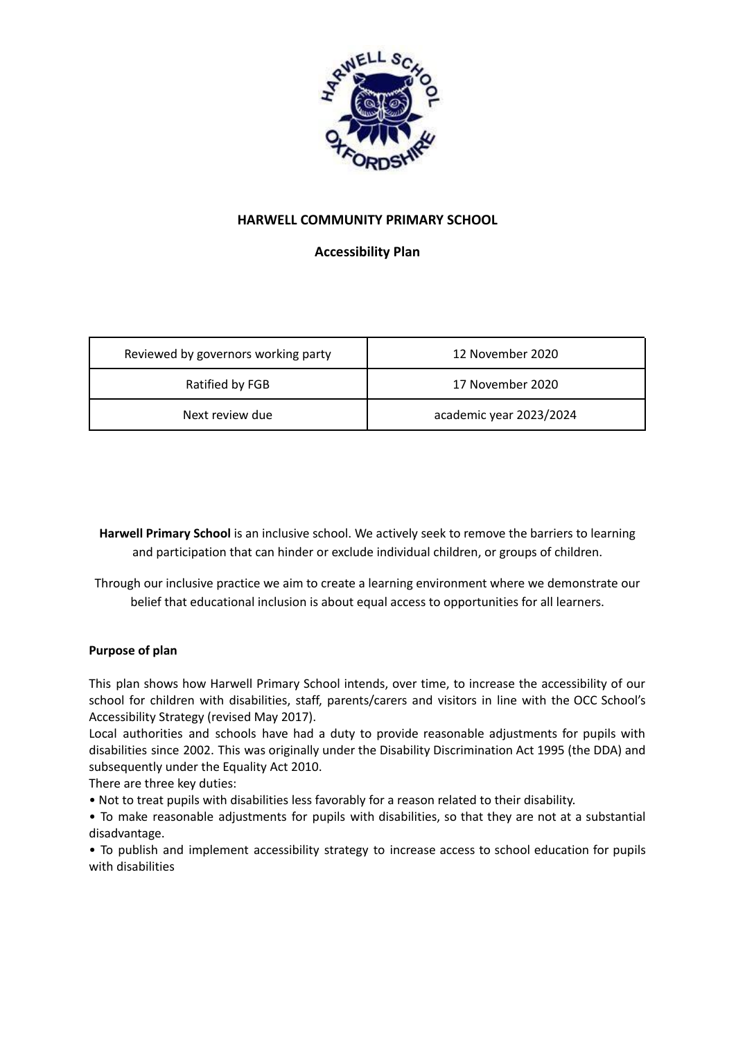

# **HARWELL COMMUNITY PRIMARY SCHOOL**

**Accessibility Plan**

| Reviewed by governors working party | 12 November 2020        |
|-------------------------------------|-------------------------|
| Ratified by FGB                     | 17 November 2020        |
| Next review due                     | academic year 2023/2024 |

**Harwell Primary School** is an inclusive school. We actively seek to remove the barriers to learning and participation that can hinder or exclude individual children, or groups of children.

Through our inclusive practice we aim to create a learning environment where we demonstrate our belief that educational inclusion is about equal access to opportunities for all learners.

# **Purpose of plan**

This plan shows how Harwell Primary School intends, over time, to increase the accessibility of our school for children with disabilities, staff, parents/carers and visitors in line with the OCC School's Accessibility Strategy (revised May 2017).

Local authorities and schools have had a duty to provide reasonable adjustments for pupils with disabilities since 2002. This was originally under the Disability Discrimination Act 1995 (the DDA) and subsequently under the Equality Act 2010.

There are three key duties:

• Not to treat pupils with disabilities less favorably for a reason related to their disability.

• To make reasonable adjustments for pupils with disabilities, so that they are not at a substantial disadvantage.

• To publish and implement accessibility strategy to increase access to school education for pupils with disabilities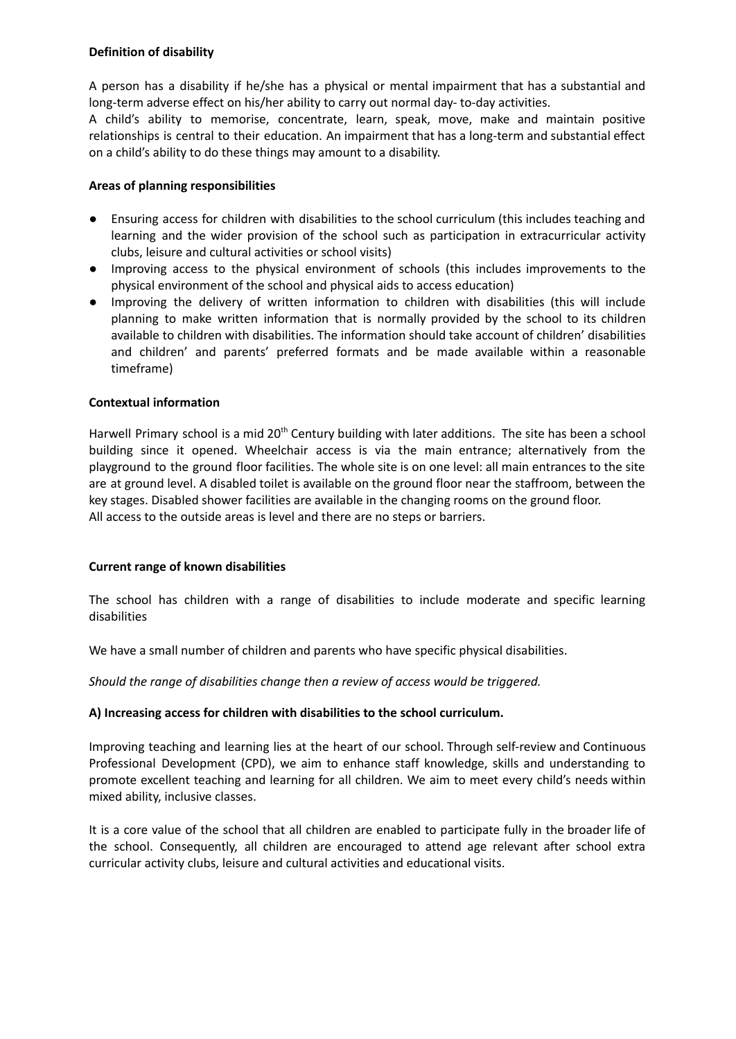## **Definition of disability**

A person has a disability if he/she has a physical or mental impairment that has a substantial and long-term adverse effect on his/her ability to carry out normal day- to-day activities.

A child's ability to memorise, concentrate, learn, speak, move, make and maintain positive relationships is central to their education. An impairment that has a long-term and substantial effect on a child's ability to do these things may amount to a disability.

## **Areas of planning responsibilities**

- Ensuring access for children with disabilities to the school curriculum (this includes teaching and learning and the wider provision of the school such as participation in extracurricular activity clubs, leisure and cultural activities or school visits)
- Improving access to the physical environment of schools (this includes improvements to the physical environment of the school and physical aids to access education)
- Improving the delivery of written information to children with disabilities (this will include planning to make written information that is normally provided by the school to its children available to children with disabilities. The information should take account of children' disabilities and children' and parents' preferred formats and be made available within a reasonable timeframe)

## **Contextual information**

Harwell Primary school is a mid 20<sup>th</sup> Century building with later additions. The site has been a school building since it opened. Wheelchair access is via the main entrance; alternatively from the playground to the ground floor facilities. The whole site is on one level: all main entrances to the site are at ground level. A disabled toilet is available on the ground floor near the staffroom, between the key stages. Disabled shower facilities are available in the changing rooms on the ground floor. All access to the outside areas is level and there are no steps or barriers.

#### **Current range of known disabilities**

The school has children with a range of disabilities to include moderate and specific learning disabilities

We have a small number of children and parents who have specific physical disabilities.

*Should the range of disabilities change then a review of access would be triggered.*

#### **A) Increasing access for children with disabilities to the school curriculum.**

Improving teaching and learning lies at the heart of our school. Through self-review and Continuous Professional Development (CPD), we aim to enhance staff knowledge, skills and understanding to promote excellent teaching and learning for all children. We aim to meet every child's needs within mixed ability, inclusive classes.

It is a core value of the school that all children are enabled to participate fully in the broader life of the school. Consequently, all children are encouraged to attend age relevant after school extra curricular activity clubs, leisure and cultural activities and educational visits.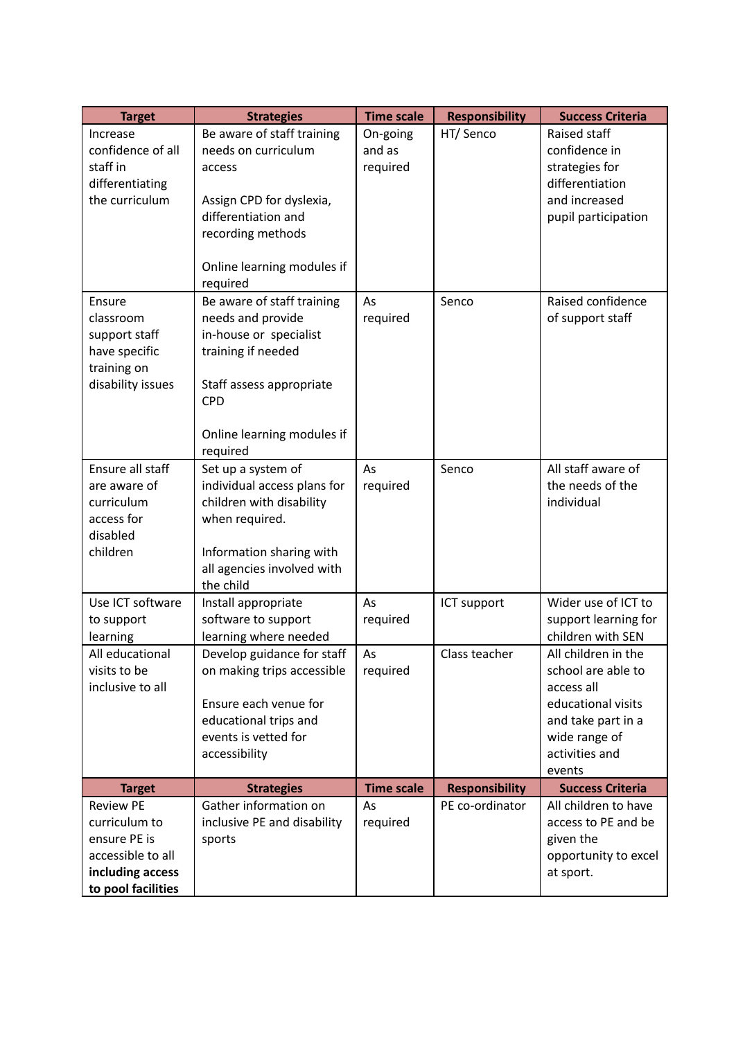| <b>Target</b>      | <b>Strategies</b>                       | <b>Time scale</b> | <b>Responsibility</b> | <b>Success Criteria</b> |
|--------------------|-----------------------------------------|-------------------|-----------------------|-------------------------|
| Increase           | Be aware of staff training              | On-going          | HT/ Senco             | Raised staff            |
| confidence of all  | needs on curriculum                     | and as            |                       | confidence in           |
| staff in           | access                                  | required          |                       | strategies for          |
| differentiating    |                                         |                   |                       | differentiation         |
| the curriculum     | Assign CPD for dyslexia,                |                   |                       | and increased           |
|                    | differentiation and                     |                   |                       | pupil participation     |
|                    | recording methods                       |                   |                       |                         |
|                    |                                         |                   |                       |                         |
|                    | Online learning modules if              |                   |                       |                         |
|                    | required                                |                   |                       |                         |
| Ensure             | Be aware of staff training              | As                | Senco                 | Raised confidence       |
| classroom          | needs and provide                       | required          |                       | of support staff        |
| support staff      | in-house or specialist                  |                   |                       |                         |
| have specific      | training if needed                      |                   |                       |                         |
| training on        |                                         |                   |                       |                         |
| disability issues  | Staff assess appropriate                |                   |                       |                         |
|                    | <b>CPD</b>                              |                   |                       |                         |
|                    |                                         |                   |                       |                         |
|                    | Online learning modules if              |                   |                       |                         |
|                    | required                                |                   |                       |                         |
| Ensure all staff   | Set up a system of                      | As                | Senco                 | All staff aware of      |
| are aware of       | individual access plans for             | required          |                       | the needs of the        |
| curriculum         | children with disability                |                   |                       | individual              |
| access for         | when required.                          |                   |                       |                         |
| disabled           |                                         |                   |                       |                         |
| children           | Information sharing with                |                   |                       |                         |
|                    | all agencies involved with<br>the child |                   |                       |                         |
| Use ICT software   | Install appropriate                     | As                | ICT support           | Wider use of ICT to     |
| to support         | software to support                     | required          |                       | support learning for    |
| learning           | learning where needed                   |                   |                       | children with SEN       |
| All educational    | Develop guidance for staff              | As                | Class teacher         | All children in the     |
| visits to be       | on making trips accessible              | required          |                       | school are able to      |
| inclusive to all   |                                         |                   |                       | access all              |
|                    | Ensure each venue for                   |                   |                       | educational visits      |
|                    | educational trips and                   |                   |                       | and take part in a      |
|                    | events is vetted for                    |                   |                       | wide range of           |
|                    | accessibility                           |                   |                       | activities and          |
|                    |                                         |                   |                       | events                  |
| <b>Target</b>      | <b>Strategies</b>                       | <b>Time scale</b> | <b>Responsibility</b> | <b>Success Criteria</b> |
| <b>Review PE</b>   | Gather information on                   | As                | PE co-ordinator       | All children to have    |
| curriculum to      | inclusive PE and disability             | required          |                       | access to PE and be     |
| ensure PE is       | sports                                  |                   |                       | given the               |
| accessible to all  |                                         |                   |                       | opportunity to excel    |
| including access   |                                         |                   |                       | at sport.               |
| to pool facilities |                                         |                   |                       |                         |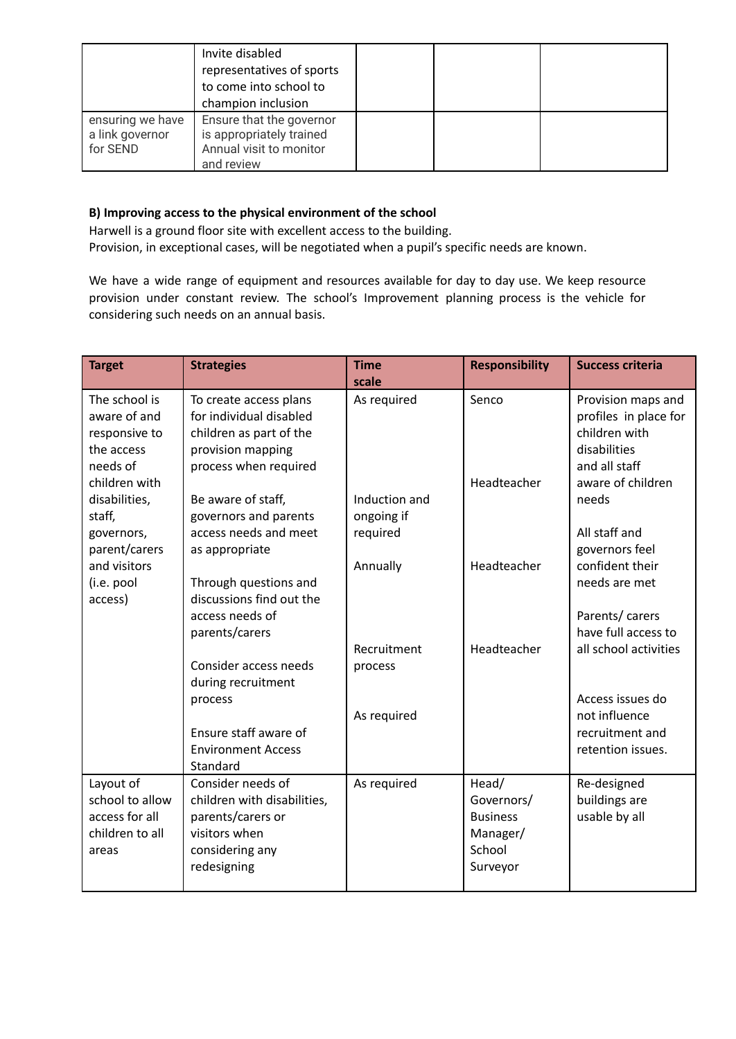|                                                 | Invite disabled<br>representatives of sports<br>to come into school to<br>champion inclusion  |  |  |
|-------------------------------------------------|-----------------------------------------------------------------------------------------------|--|--|
| ensuring we have<br>a link governor<br>for SEND | Ensure that the governor<br>is appropriately trained<br>Annual visit to monitor<br>and review |  |  |

## **B) Improving access to the physical environment of the school**

Harwell is a ground floor site with excellent access to the building. Provision, in exceptional cases, will be negotiated when a pupil's specific needs are known.

We have a wide range of equipment and resources available for day to day use. We keep resource provision under constant review. The school's Improvement planning process is the vehicle for considering such needs on an annual basis.

| <b>Target</b>                                                              | <b>Strategies</b>                                                                                                          | <b>Time</b><br>scale                    | <b>Responsibility</b>                                                    | <b>Success criteria</b>                                                                       |
|----------------------------------------------------------------------------|----------------------------------------------------------------------------------------------------------------------------|-----------------------------------------|--------------------------------------------------------------------------|-----------------------------------------------------------------------------------------------|
| The school is<br>aware of and<br>responsive to<br>the access<br>needs of   | To create access plans<br>for individual disabled<br>children as part of the<br>provision mapping<br>process when required | As required                             | Senco                                                                    | Provision maps and<br>profiles in place for<br>children with<br>disabilities<br>and all staff |
| children with<br>disabilities,<br>staff,<br>governors,                     | Be aware of staff,<br>governors and parents<br>access needs and meet                                                       | Induction and<br>ongoing if<br>required | Headteacher                                                              | aware of children<br>needs<br>All staff and<br>governors feel                                 |
| parent/carers<br>and visitors<br>(i.e. pool<br>access)                     | as appropriate<br>Through questions and<br>discussions find out the<br>access needs of                                     | Annually                                | Headteacher                                                              | confident their<br>needs are met<br>Parents/ carers                                           |
|                                                                            | parents/carers<br>Consider access needs<br>during recruitment                                                              | Recruitment<br>process                  | Headteacher                                                              | have full access to<br>all school activities                                                  |
|                                                                            | process<br>Ensure staff aware of<br><b>Environment Access</b><br>Standard                                                  | As required                             |                                                                          | Access issues do<br>not influence<br>recruitment and<br>retention issues.                     |
| Layout of<br>school to allow<br>access for all<br>children to all<br>areas | Consider needs of<br>children with disabilities,<br>parents/carers or<br>visitors when<br>considering any<br>redesigning   | As required                             | Head/<br>Governors/<br><b>Business</b><br>Manager/<br>School<br>Surveyor | Re-designed<br>buildings are<br>usable by all                                                 |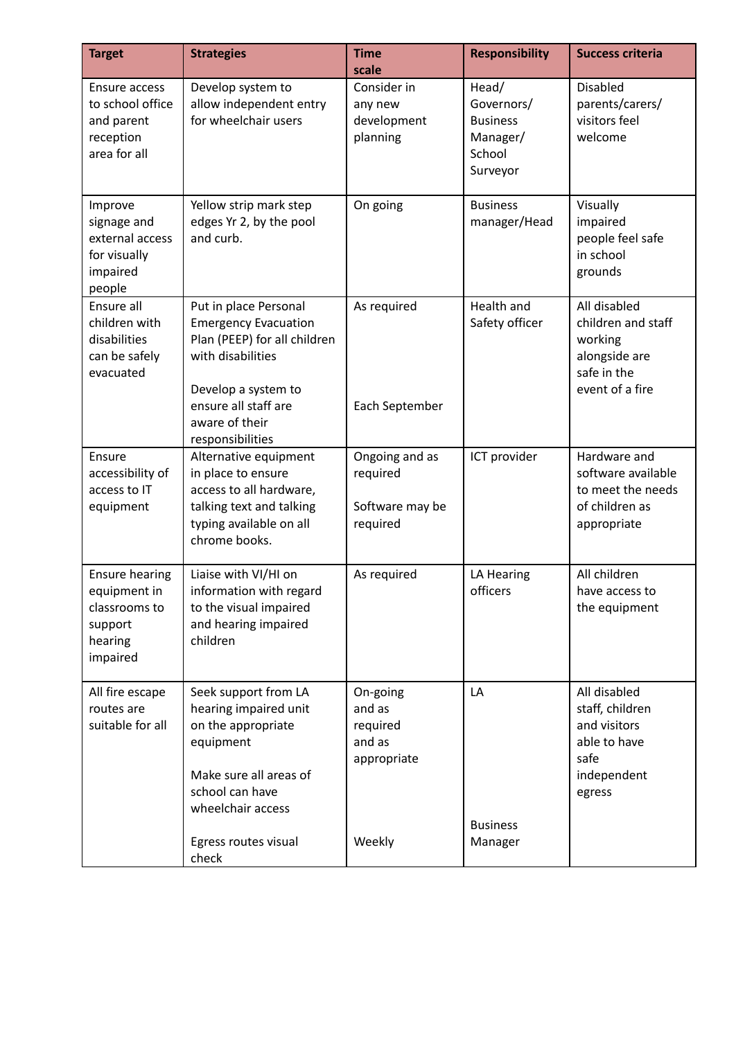| <b>Target</b>                                                                            | <b>Strategies</b>                                                                                                                                                                              | <b>Time</b><br>scale                                      | <b>Responsibility</b>                                                    | <b>Success criteria</b>                                                                          |
|------------------------------------------------------------------------------------------|------------------------------------------------------------------------------------------------------------------------------------------------------------------------------------------------|-----------------------------------------------------------|--------------------------------------------------------------------------|--------------------------------------------------------------------------------------------------|
| Ensure access<br>to school office<br>and parent<br>reception<br>area for all             | Develop system to<br>allow independent entry<br>for wheelchair users                                                                                                                           | Consider in<br>any new<br>development<br>planning         | Head/<br>Governors/<br><b>Business</b><br>Manager/<br>School<br>Surveyor | <b>Disabled</b><br>parents/carers/<br>visitors feel<br>welcome                                   |
| Improve<br>signage and<br>external access<br>for visually<br>impaired<br>people          | Yellow strip mark step<br>edges Yr 2, by the pool<br>and curb.                                                                                                                                 | On going                                                  | <b>Business</b><br>manager/Head                                          | Visually<br>impaired<br>people feel safe<br>in school<br>grounds                                 |
| Ensure all<br>children with<br>disabilities<br>can be safely<br>evacuated                | Put in place Personal<br><b>Emergency Evacuation</b><br>Plan (PEEP) for all children<br>with disabilities<br>Develop a system to<br>ensure all staff are<br>aware of their<br>responsibilities | As required<br>Each September                             | Health and<br>Safety officer                                             | All disabled<br>children and staff<br>working<br>alongside are<br>safe in the<br>event of a fire |
| Ensure<br>accessibility of<br>access to IT<br>equipment                                  | Alternative equipment<br>in place to ensure<br>access to all hardware,<br>talking text and talking<br>typing available on all<br>chrome books.                                                 | Ongoing and as<br>required<br>Software may be<br>required | ICT provider                                                             | Hardware and<br>software available<br>to meet the needs<br>of children as<br>appropriate         |
| <b>Ensure hearing</b><br>equipment in<br>classrooms to<br>support<br>hearing<br>impaired | Liaise with VI/HI on<br>information with regard<br>to the visual impaired<br>and hearing impaired<br>children                                                                                  | As required                                               | LA Hearing<br>officers                                                   | All children<br>have access to<br>the equipment                                                  |
| All fire escape<br>routes are<br>suitable for all                                        | Seek support from LA<br>hearing impaired unit<br>on the appropriate<br>equipment<br>Make sure all areas of<br>school can have<br>wheelchair access                                             | On-going<br>and as<br>required<br>and as<br>appropriate   | LA<br><b>Business</b>                                                    | All disabled<br>staff, children<br>and visitors<br>able to have<br>safe<br>independent<br>egress |
|                                                                                          | Egress routes visual<br>check                                                                                                                                                                  | Weekly                                                    | Manager                                                                  |                                                                                                  |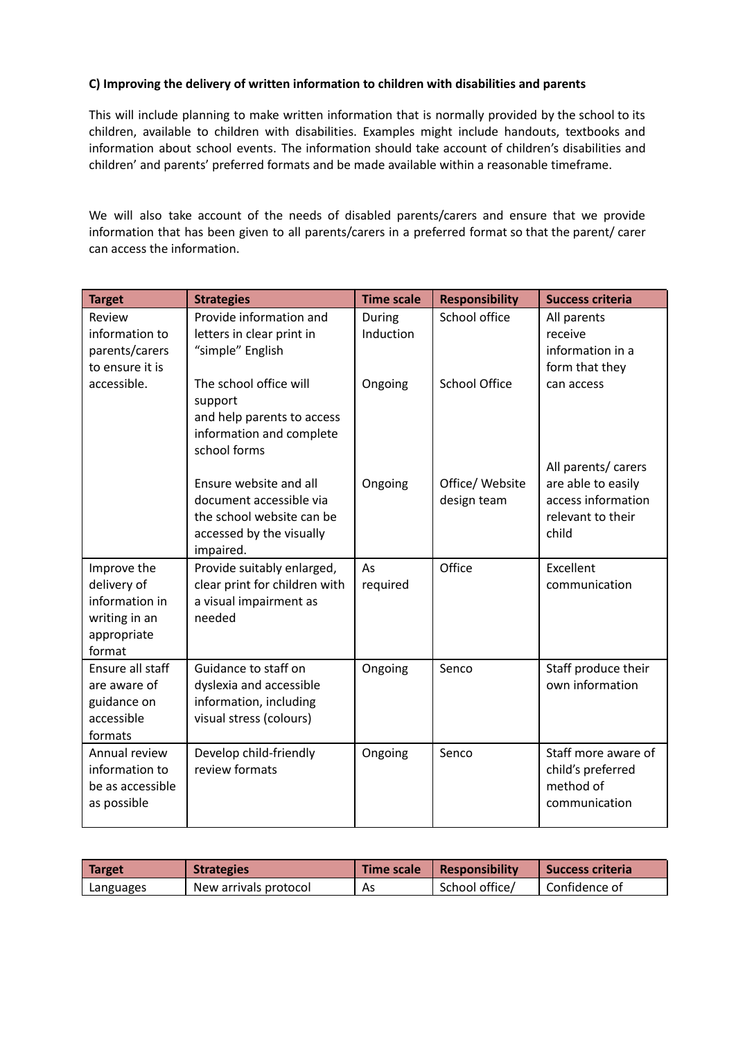## **C) Improving the delivery of written information to children with disabilities and parents**

This will include planning to make written information that is normally provided by the school to its children, available to children with disabilities. Examples might include handouts, textbooks and information about school events. The information should take account of children's disabilities and children' and parents' preferred formats and be made available within a reasonable timeframe.

We will also take account of the needs of disabled parents/carers and ensure that we provide information that has been given to all parents/carers in a preferred format so that the parent/ carer can access the information.

| <b>Target</b>             | <b>Strategies</b>                                 | <b>Time scale</b> | <b>Responsibility</b> | <b>Success criteria</b>                |
|---------------------------|---------------------------------------------------|-------------------|-----------------------|----------------------------------------|
| Review                    | Provide information and                           | During            | School office         | All parents                            |
| information to            | letters in clear print in                         | Induction         |                       | receive                                |
| parents/carers            | "simple" English                                  |                   |                       | information in a                       |
| to ensure it is           |                                                   |                   |                       | form that they                         |
| accessible.               | The school office will                            | Ongoing           | <b>School Office</b>  | can access                             |
|                           | support                                           |                   |                       |                                        |
|                           | and help parents to access                        |                   |                       |                                        |
|                           | information and complete                          |                   |                       |                                        |
|                           | school forms                                      |                   |                       |                                        |
|                           |                                                   |                   |                       | All parents/ carers                    |
|                           | Ensure website and all                            | Ongoing           | Office/ Website       | are able to easily                     |
|                           | document accessible via                           |                   | design team           | access information                     |
|                           | the school website can be                         |                   |                       | relevant to their                      |
|                           | accessed by the visually                          |                   |                       | child                                  |
|                           | impaired.                                         |                   |                       |                                        |
| Improve the               | Provide suitably enlarged,                        | As                | Office                | Excellent                              |
| delivery of               | clear print for children with                     | required          |                       | communication                          |
| information in            | a visual impairment as                            |                   |                       |                                        |
| writing in an             | needed                                            |                   |                       |                                        |
| appropriate<br>format     |                                                   |                   |                       |                                        |
| Ensure all staff          | Guidance to staff on                              |                   | Senco                 |                                        |
| are aware of              |                                                   | Ongoing           |                       | Staff produce their<br>own information |
|                           | dyslexia and accessible<br>information, including |                   |                       |                                        |
| guidance on<br>accessible | visual stress (colours)                           |                   |                       |                                        |
| formats                   |                                                   |                   |                       |                                        |
| Annual review             | Develop child-friendly                            | Ongoing           | Senco                 | Staff more aware of                    |
| information to            | review formats                                    |                   |                       | child's preferred                      |
| be as accessible          |                                                   |                   |                       | method of                              |
| as possible               |                                                   |                   |                       | communication                          |
|                           |                                                   |                   |                       |                                        |

| Target    | <b>Strategies</b>     | <b>Time scale</b> | <b>Responsibility</b> | <b>Success criteria</b> |
|-----------|-----------------------|-------------------|-----------------------|-------------------------|
| Languages | New arrivals protocol | As                | School office/        | Confidence of           |